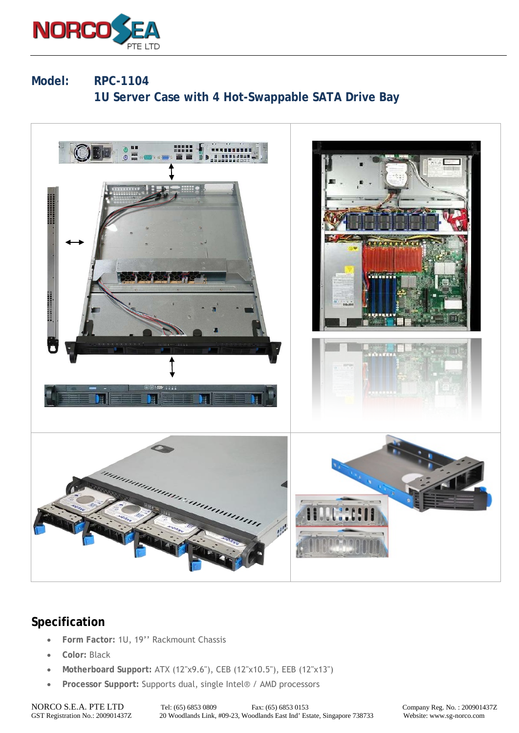

## **Model: RPC-1104 1U Server Case with 4 Hot-Swappable SATA Drive Bay**



## **Specification**

- **Form Factor:** 1U, 19'' Rackmount Chassis
- **Color:** Black
- **Motherboard Support:** ATX (12"x9.6"), CEB (12"x10.5"), EEB (12"x13")
- **Processor Support:** Supports dual, single Intel® / AMD processors